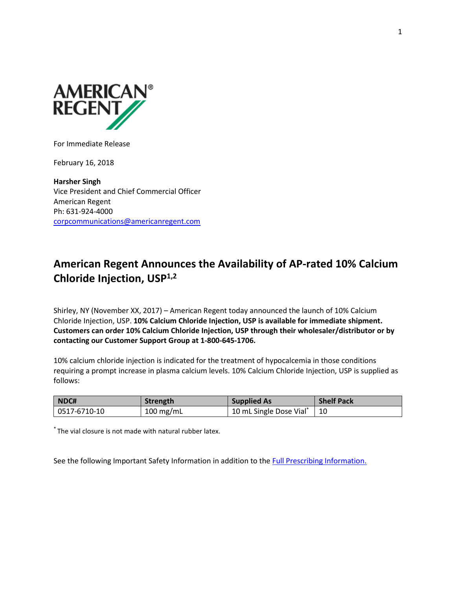

For Immediate Release

February 16, 2018

**Harsher Singh** Vice President and Chief Commercial Officer American Regent Ph: 631-924-4000 [corpcommunications@americanregent.com](mailto:corpcommunications@americanregent.com)

# **American Regent Announces the Availability of AP-rated 10% Calcium Chloride Injection, USP1,2**

Shirley, NY (November XX, 2017) – American Regent today announced the launch of 10% Calcium Chloride Injection, USP. **10% Calcium Chloride Injection, USP is available for immediate shipment. Customers can order 10% Calcium Chloride Injection, USP through their wholesaler/distributor or by contacting our Customer Support Group at 1-800-645-1706.**

10% calcium chloride injection is indicated for the treatment of hypocalcemia in those conditions requiring a prompt increase in plasma calcium levels. 10% Calcium Chloride Injection, USP is supplied as follows:

| NDC#         | Strength  | <b>Supplied As</b>      | <b>Shelf Pack</b> |
|--------------|-----------|-------------------------|-------------------|
| 0517-6710-10 | 100 mg/mL | 10 mL Single Dose Vial* |                   |

\* The vial closure is not made with natural rubber latex.

See the following Important Safety Information in addition to the Full Prescribing Information.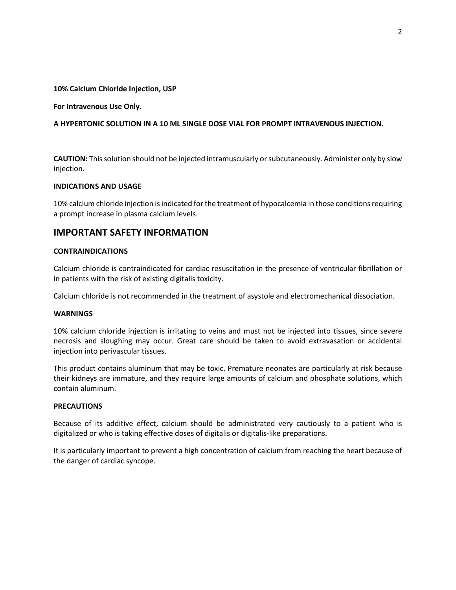#### **10% Calcium Chloride Injection, USP**

#### **For Intravenous Use Only.**

### **A HYPERTONIC SOLUTION IN A 10 ML SINGLE DOSE VIAL FOR PROMPT INTRAVENOUS INJECTION.**

**CAUTION:** This solution should not be injected intramuscularly or subcutaneously. Administer only by slow injection.

### **INDICATIONS AND USAGE**

10% calcium chloride injection is indicated for the treatment of hypocalcemia in those conditions requiring a prompt increase in plasma calcium levels.

## **IMPORTANT SAFETY INFORMATION**

#### **CONTRAINDICATIONS**

Calcium chloride is contraindicated for cardiac resuscitation in the presence of ventricular fibrillation or in patients with the risk of existing digitalis toxicity.

Calcium chloride is not recommended in the treatment of asystole and electromechanical dissociation.

#### **WARNINGS**

10% calcium chloride injection is irritating to veins and must not be injected into tissues, since severe necrosis and sloughing may occur. Great care should be taken to avoid extravasation or accidental injection into perivascular tissues.

This product contains aluminum that may be toxic. Premature neonates are particularly at risk because their kidneys are immature, and they require large amounts of calcium and phosphate solutions, which contain aluminum.

#### **PRECAUTIONS**

Because of its additive effect, calcium should be administrated very cautiously to a patient who is digitalized or who is taking effective doses of digitalis or digitalis-like preparations.

It is particularly important to prevent a high concentration of calcium from reaching the heart because of the danger of cardiac syncope.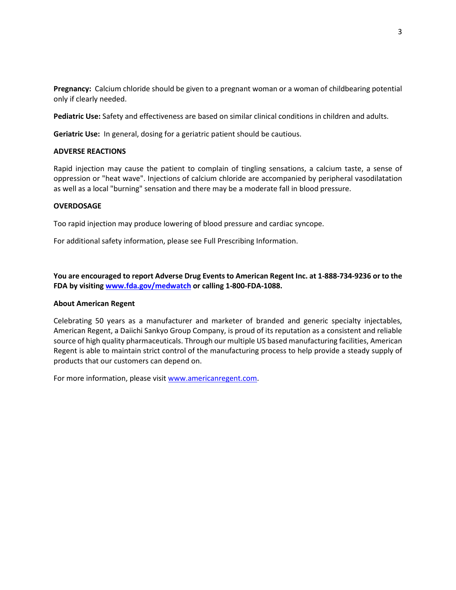**Pregnancy:** Calcium chloride should be given to a pregnant woman or a woman of childbearing potential only if clearly needed.

**Pediatric Use:** Safety and effectiveness are based on similar clinical conditions in children and adults.

**Geriatric Use:** In general, dosing for a geriatric patient should be cautious.

### **ADVERSE REACTIONS**

Rapid injection may cause the patient to complain of tingling sensations, a calcium taste, a sense of oppression or "heat wave". Injections of calcium chloride are accompanied by peripheral vasodilatation as well as a local "burning" sensation and there may be a moderate fall in blood pressure.

### **OVERDOSAGE**

Too rapid injection may produce lowering of blood pressure and cardiac syncope.

For additional safety information, please see Full Prescribing Information.

**You are encouraged to report Adverse Drug Events to American Regent Inc. at 1-888-734-9236 or to the FDA by visiting [www.fda.gov/medwatch](http://www.fda.gov/medwatch) or calling 1-800-FDA-1088.**

#### **About American Regent**

Celebrating 50 years as a manufacturer and marketer of branded and generic specialty injectables, American Regent, a Daiichi Sankyo Group Company, is proud of its reputation as a consistent and reliable source of high quality pharmaceuticals. Through our multiple US based manufacturing facilities, American Regent is able to maintain strict control of the manufacturing process to help provide a steady supply of products that our customers can depend on.

For more information, please visi[t www.americanregent.com.](http://www.americanregent.com/)